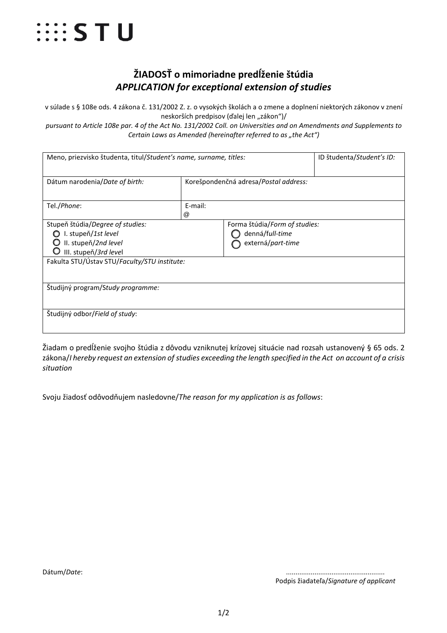

## **ŽIADOSŤ o mimoriadne predĺženie štúdia** *APPLICATION for exceptional extension of studies*

v súlade s § 108e ods. 4 zákona č. 131/2002 Z. z. o vysokých školách a o zmene a doplnení niektorých zákonov v znení neskorších predpisov (ďalej len "zákon")/

*pursuant to Article 108e par. 4 of the Act No. 131/2002 Coll. on Universities and on Amendments and Supplements to Certain Laws as Amended (hereinafter referred to as "the Act")* 

| Meno, priezvisko študenta, titul/Student's name, surname, titles:                                        |                                       |                                                                       | ID študenta/Student's ID: |
|----------------------------------------------------------------------------------------------------------|---------------------------------------|-----------------------------------------------------------------------|---------------------------|
| Dátum narodenia/Date of birth:                                                                           | Korešpondenčná adresa/Postal address: |                                                                       |                           |
| Tel./Phone:                                                                                              | E-mail:<br>$^{\textregistered}$       |                                                                       |                           |
| Stupeň štúdia/Degree of studies:<br>I. stupeň/1st level<br>II. stupeň/2nd level<br>III. stupeň/3rd level |                                       | Forma štúdia/Form of studies:<br>denná/full-time<br>externá/part-time |                           |
| Fakulta STU/Ústav STU/Faculty/STU institute:                                                             |                                       |                                                                       |                           |
| Študijný program/Study programme:                                                                        |                                       |                                                                       |                           |
| Študijný odbor/Field of study:                                                                           |                                       |                                                                       |                           |

Žiadam o predĺženie svojho štúdia z dôvodu vzniknutej krízovej situácie nad rozsah ustanovený § 65 ods. 2 zákona/*I hereby request an extension of studies exceeding the length specified in the Act on account of a crisis situation*

Svoju žiadosť odôvodňujem nasledovne/*The reason for my application is as follows*:

Podpis žiadateľa/*Signature of applicant*